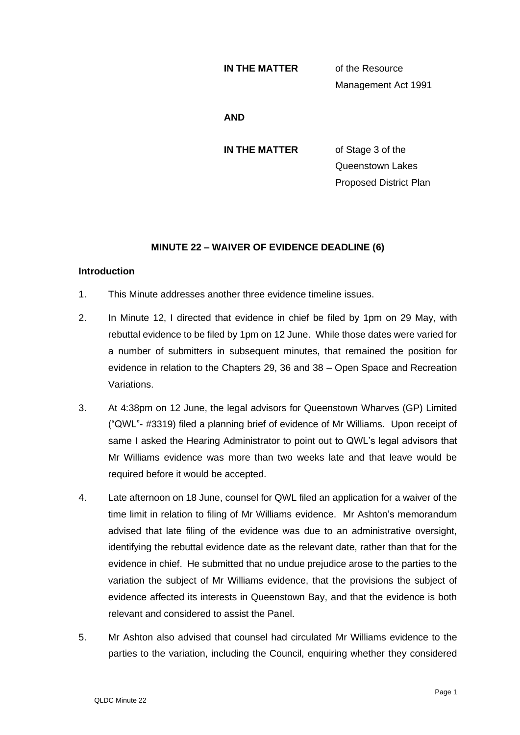### **IN THE MATTER** of the Resource

Management Act 1991

## **AND**

**IN THE MATTER** of Stage 3 of the Queenstown Lakes Proposed District Plan

# **MINUTE 22 – WAIVER OF EVIDENCE DEADLINE (6)**

### **Introduction**

- 1. This Minute addresses another three evidence timeline issues.
- 2. In Minute 12, I directed that evidence in chief be filed by 1pm on 29 May, with rebuttal evidence to be filed by 1pm on 12 June. While those dates were varied for a number of submitters in subsequent minutes, that remained the position for evidence in relation to the Chapters 29, 36 and 38 – Open Space and Recreation Variations.
- 3. At 4:38pm on 12 June, the legal advisors for Queenstown Wharves (GP) Limited ("QWL"- #3319) filed a planning brief of evidence of Mr Williams. Upon receipt of same I asked the Hearing Administrator to point out to QWL's legal advisors that Mr Williams evidence was more than two weeks late and that leave would be required before it would be accepted.
- 4. Late afternoon on 18 June, counsel for QWL filed an application for a waiver of the time limit in relation to filing of Mr Williams evidence. Mr Ashton's memorandum advised that late filing of the evidence was due to an administrative oversight, identifying the rebuttal evidence date as the relevant date, rather than that for the evidence in chief. He submitted that no undue prejudice arose to the parties to the variation the subject of Mr Williams evidence, that the provisions the subject of evidence affected its interests in Queenstown Bay, and that the evidence is both relevant and considered to assist the Panel.
- 5. Mr Ashton also advised that counsel had circulated Mr Williams evidence to the parties to the variation, including the Council, enquiring whether they considered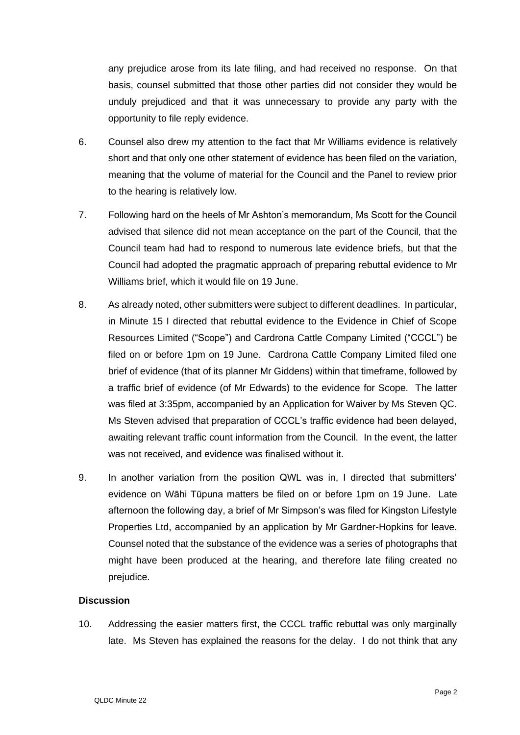any prejudice arose from its late filing, and had received no response. On that basis, counsel submitted that those other parties did not consider they would be unduly prejudiced and that it was unnecessary to provide any party with the opportunity to file reply evidence.

- 6. Counsel also drew my attention to the fact that Mr Williams evidence is relatively short and that only one other statement of evidence has been filed on the variation, meaning that the volume of material for the Council and the Panel to review prior to the hearing is relatively low.
- 7. Following hard on the heels of Mr Ashton's memorandum, Ms Scott for the Council advised that silence did not mean acceptance on the part of the Council, that the Council team had had to respond to numerous late evidence briefs, but that the Council had adopted the pragmatic approach of preparing rebuttal evidence to Mr Williams brief, which it would file on 19 June.
- 8. As already noted, other submitters were subject to different deadlines. In particular, in Minute 15 I directed that rebuttal evidence to the Evidence in Chief of Scope Resources Limited ("Scope") and Cardrona Cattle Company Limited ("CCCL") be filed on or before 1pm on 19 June. Cardrona Cattle Company Limited filed one brief of evidence (that of its planner Mr Giddens) within that timeframe, followed by a traffic brief of evidence (of Mr Edwards) to the evidence for Scope. The latter was filed at 3:35pm, accompanied by an Application for Waiver by Ms Steven QC. Ms Steven advised that preparation of CCCL's traffic evidence had been delayed, awaiting relevant traffic count information from the Council. In the event, the latter was not received, and evidence was finalised without it.
- 9. In another variation from the position QWL was in, I directed that submitters' evidence on Wāhi Tūpuna matters be filed on or before 1pm on 19 June. Late afternoon the following day, a brief of Mr Simpson's was filed for Kingston Lifestyle Properties Ltd, accompanied by an application by Mr Gardner-Hopkins for leave. Counsel noted that the substance of the evidence was a series of photographs that might have been produced at the hearing, and therefore late filing created no prejudice.

## **Discussion**

10. Addressing the easier matters first, the CCCL traffic rebuttal was only marginally late. Ms Steven has explained the reasons for the delay. I do not think that any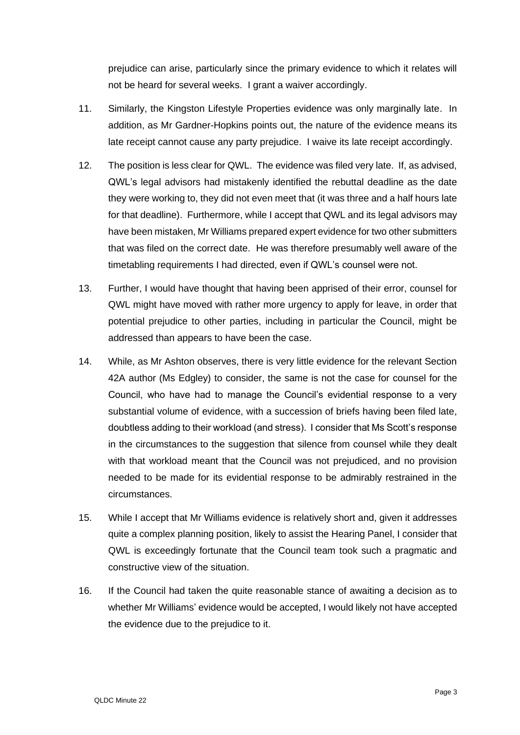prejudice can arise, particularly since the primary evidence to which it relates will not be heard for several weeks. I grant a waiver accordingly.

- 11. Similarly, the Kingston Lifestyle Properties evidence was only marginally late. In addition, as Mr Gardner-Hopkins points out, the nature of the evidence means its late receipt cannot cause any party prejudice. I waive its late receipt accordingly.
- 12. The position is less clear for QWL. The evidence was filed very late. If, as advised, QWL's legal advisors had mistakenly identified the rebuttal deadline as the date they were working to, they did not even meet that (it was three and a half hours late for that deadline). Furthermore, while I accept that QWL and its legal advisors may have been mistaken, Mr Williams prepared expert evidence for two other submitters that was filed on the correct date. He was therefore presumably well aware of the timetabling requirements I had directed, even if QWL's counsel were not.
- 13. Further, I would have thought that having been apprised of their error, counsel for QWL might have moved with rather more urgency to apply for leave, in order that potential prejudice to other parties, including in particular the Council, might be addressed than appears to have been the case.
- 14. While, as Mr Ashton observes, there is very little evidence for the relevant Section 42A author (Ms Edgley) to consider, the same is not the case for counsel for the Council, who have had to manage the Council's evidential response to a very substantial volume of evidence, with a succession of briefs having been filed late, doubtless adding to their workload (and stress). I consider that Ms Scott's response in the circumstances to the suggestion that silence from counsel while they dealt with that workload meant that the Council was not prejudiced, and no provision needed to be made for its evidential response to be admirably restrained in the circumstances.
- 15. While I accept that Mr Williams evidence is relatively short and, given it addresses quite a complex planning position, likely to assist the Hearing Panel, I consider that QWL is exceedingly fortunate that the Council team took such a pragmatic and constructive view of the situation.
- 16. If the Council had taken the quite reasonable stance of awaiting a decision as to whether Mr Williams' evidence would be accepted, I would likely not have accepted the evidence due to the prejudice to it.